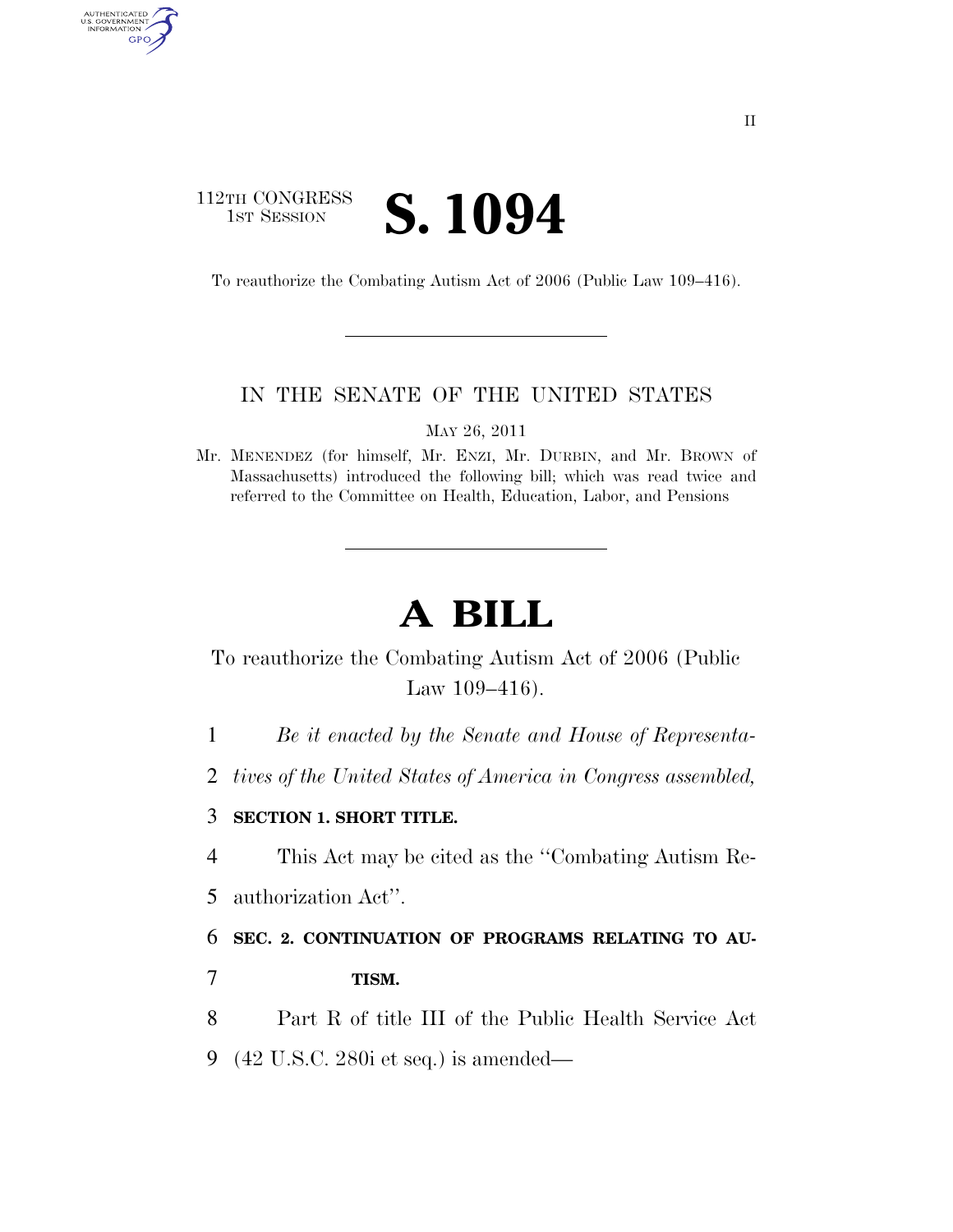# 112TH CONGRESS **IST SESSION S. 1094**

AUTHENTICATED<br>U.S. GOVERNMENT<br>INFORMATION

GPO

To reauthorize the Combating Autism Act of 2006 (Public Law 109–416).

### IN THE SENATE OF THE UNITED STATES

MAY 26, 2011

Mr. MENENDEZ (for himself, Mr. ENZI, Mr. DURBIN, and Mr. BROWN of Massachusetts) introduced the following bill; which was read twice and referred to the Committee on Health, Education, Labor, and Pensions

# **A BILL**

To reauthorize the Combating Autism Act of 2006 (Public Law 109–416).

1 *Be it enacted by the Senate and House of Representa-*

2 *tives of the United States of America in Congress assembled,* 

#### 3 **SECTION 1. SHORT TITLE.**

4 This Act may be cited as the ''Combating Autism Re-

5 authorization Act''.

6 **SEC. 2. CONTINUATION OF PROGRAMS RELATING TO AU-**

7 **TISM.** 

8 Part R of title III of the Public Health Service Act

9 (42 U.S.C. 280i et seq.) is amended—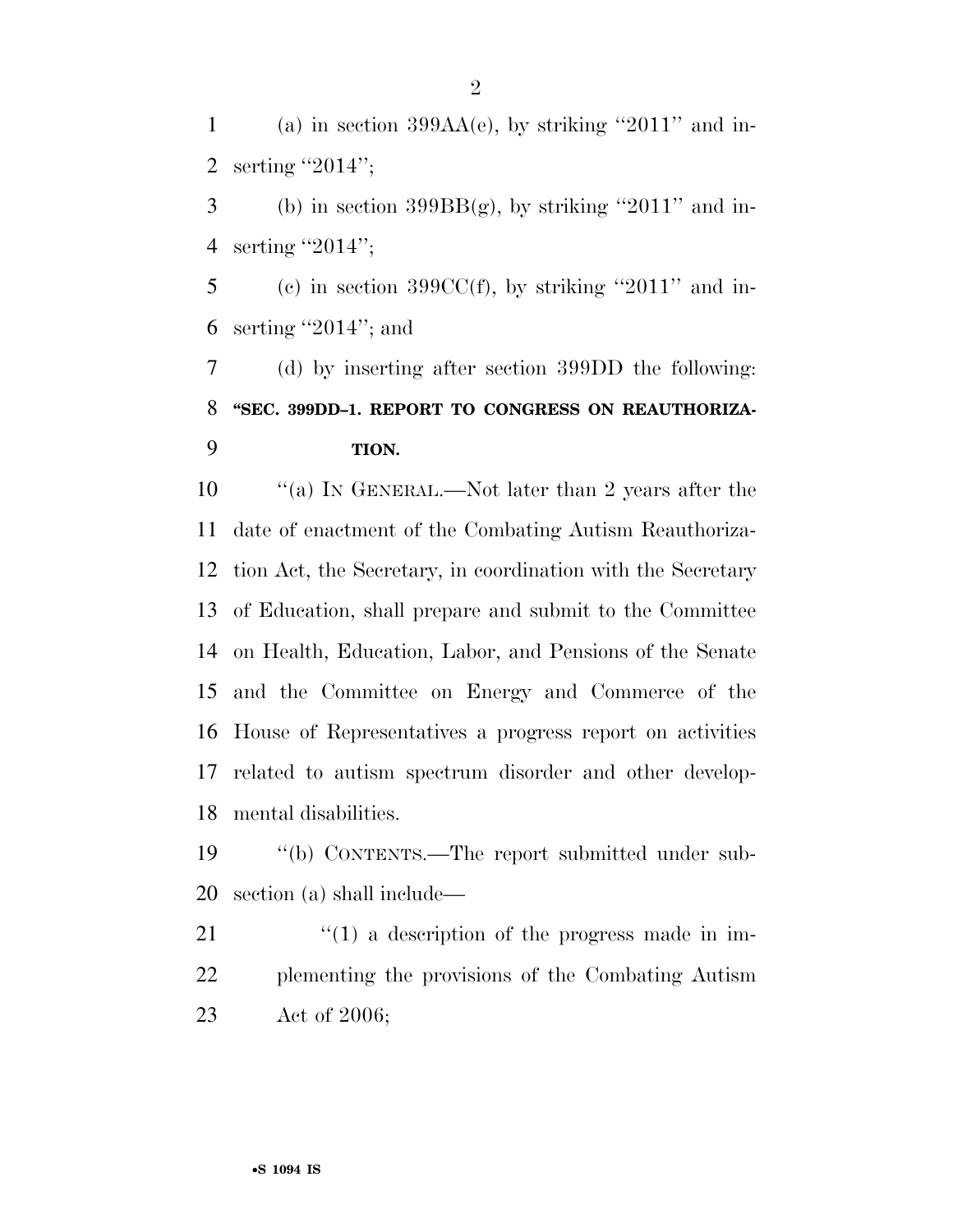1 (a) in section  $399AA(e)$ , by striking "2011" and in-serting ''2014'';

3 (b) in section  $399BB(g)$ , by striking "2011" and in-serting ''2014'';

5 (c) in section 399CC(f), by striking "2011" and in-serting ''2014''; and

 (d) by inserting after section 399DD the following: **''SEC. 399DD–1. REPORT TO CONGRESS ON REAUTHORIZA-TION.** 

 $\qquad$  "(a) In GENERAL.—Not later than 2 years after the date of enactment of the Combating Autism Reauthoriza- tion Act, the Secretary, in coordination with the Secretary of Education, shall prepare and submit to the Committee on Health, Education, Labor, and Pensions of the Senate and the Committee on Energy and Commerce of the House of Representatives a progress report on activities related to autism spectrum disorder and other develop-mental disabilities.

 ''(b) CONTENTS.—The report submitted under sub-section (a) shall include—

21  $\frac{1}{2}$  (1) a description of the progress made in im- plementing the provisions of the Combating Autism Act of 2006;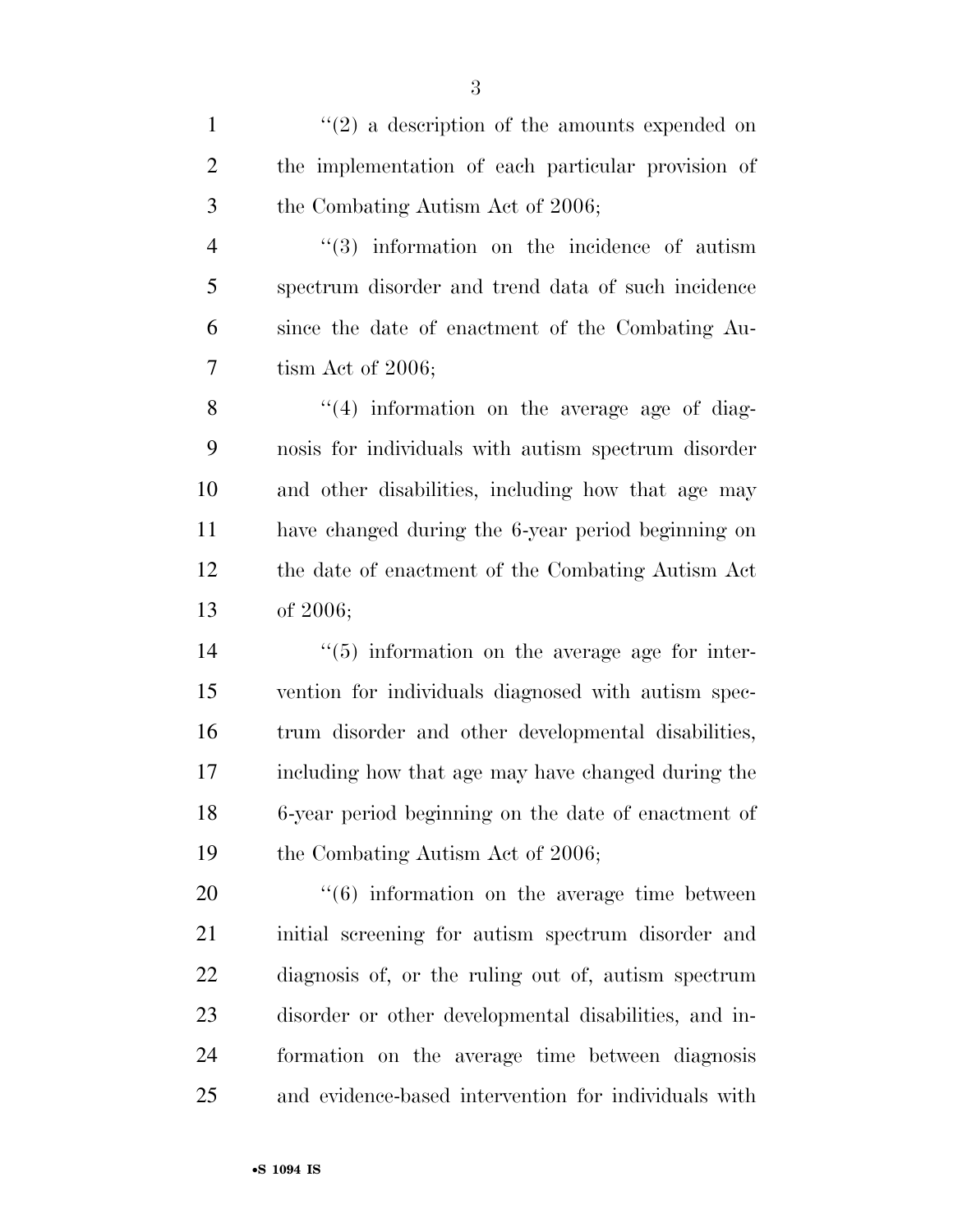$\mathcal{L}(2)$  a description of the amounts expended on the implementation of each particular provision of the Combating Autism Act of 2006;

4 ''(3) information on the incidence of autism spectrum disorder and trend data of such incidence since the date of enactment of the Combating Au-tism Act of 2006;

 $\frac{8}{(4)}$  information on the average age of diag- nosis for individuals with autism spectrum disorder and other disabilities, including how that age may have changed during the 6-year period beginning on the date of enactment of the Combating Autism Act of 2006;

 $\frac{1}{2}$  (5) information on the average age for inter- vention for individuals diagnosed with autism spec- trum disorder and other developmental disabilities, including how that age may have changed during the 6-year period beginning on the date of enactment of 19 the Combating Autism Act of 2006;

 ''(6) information on the average time between initial screening for autism spectrum disorder and diagnosis of, or the ruling out of, autism spectrum disorder or other developmental disabilities, and in- formation on the average time between diagnosis and evidence-based intervention for individuals with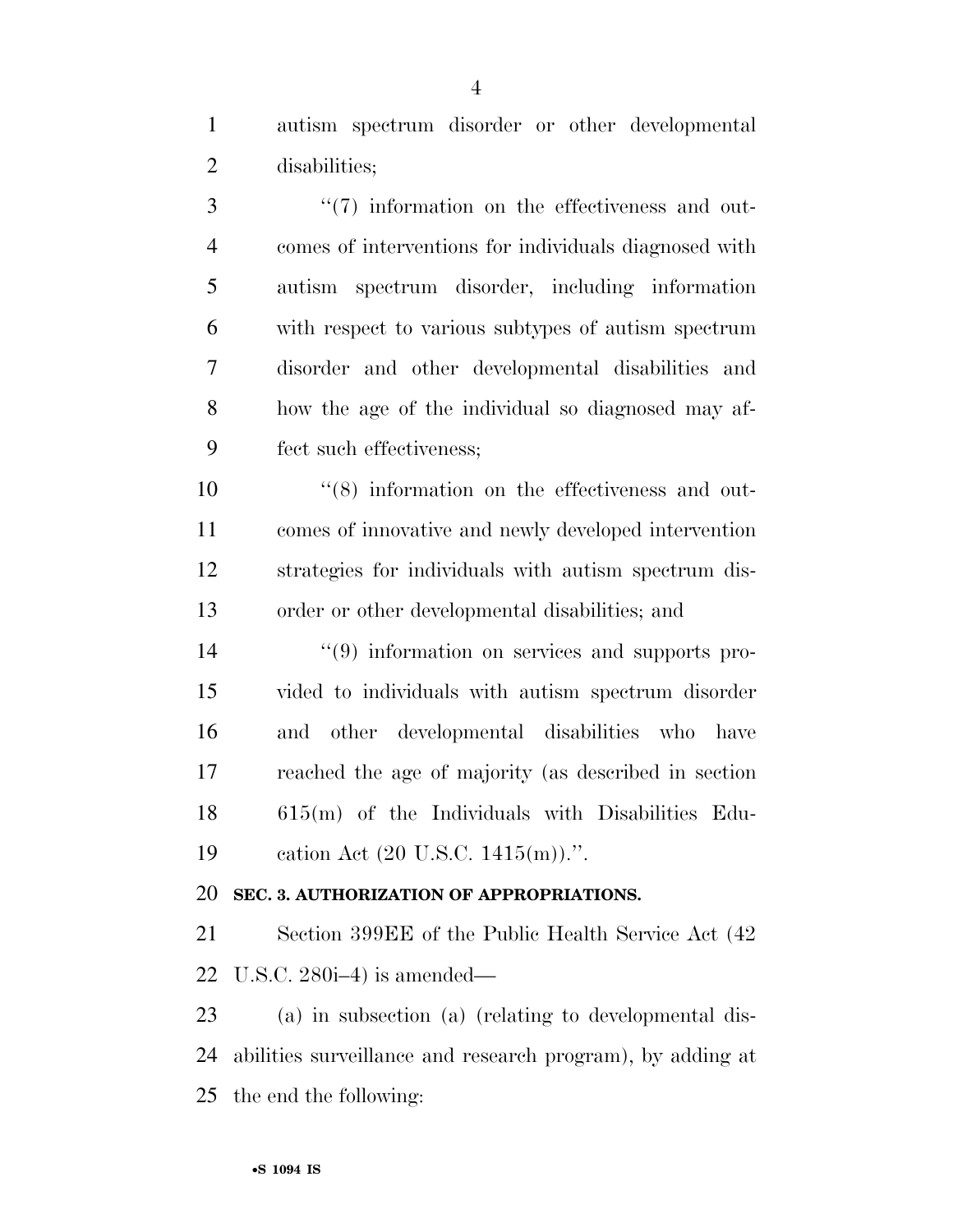autism spectrum disorder or other developmental disabilities;

 $\frac{4}{7}$  information on the effectiveness and out- comes of interventions for individuals diagnosed with autism spectrum disorder, including information with respect to various subtypes of autism spectrum disorder and other developmental disabilities and how the age of the individual so diagnosed may af-fect such effectiveness;

 $\frac{10}{10}$   $\frac{10}{10}$  information on the effectiveness and out- comes of innovative and newly developed intervention strategies for individuals with autism spectrum dis-order or other developmental disabilities; and

 ''(9) information on services and supports pro- vided to individuals with autism spectrum disorder and other developmental disabilities who have reached the age of majority (as described in section 615(m) of the Individuals with Disabilities Edu-cation Act (20 U.S.C. 1415(m)).''.

## **SEC. 3. AUTHORIZATION OF APPROPRIATIONS.**

 Section 399EE of the Public Health Service Act (42 U.S.C. 280i–4) is amended—

 (a) in subsection (a) (relating to developmental dis- abilities surveillance and research program), by adding at the end the following: